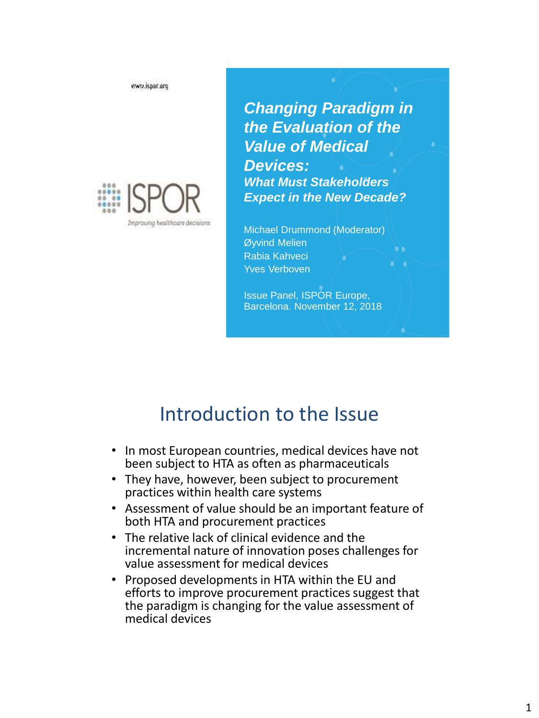www.ispor.org



*Changing Paradigm in the Evaluation of the Value of Medical Devices: What Must Stakeholders Expect in the New Decade?*

Michael Drummond (Moderator) Øyvind Melien Rabia Kahveci Yves Verboven

Issue Panel, ISPOR Europe, Barcelona. November 12, 2018

## Introduction to the Issue

- In most European countries, medical devices have not been subject to HTA as often as pharmaceuticals
- They have, however, been subject to procurement practices within health care systems
- Assessment of value should be an important feature of both HTA and procurement practices
- The relative lack of clinical evidence and the incremental nature of innovation poses challenges for value assessment for medical devices
- Proposed developments in HTA within the EU and efforts to improve procurement practices suggest that the paradigm is changing for the value assessment of medical devices